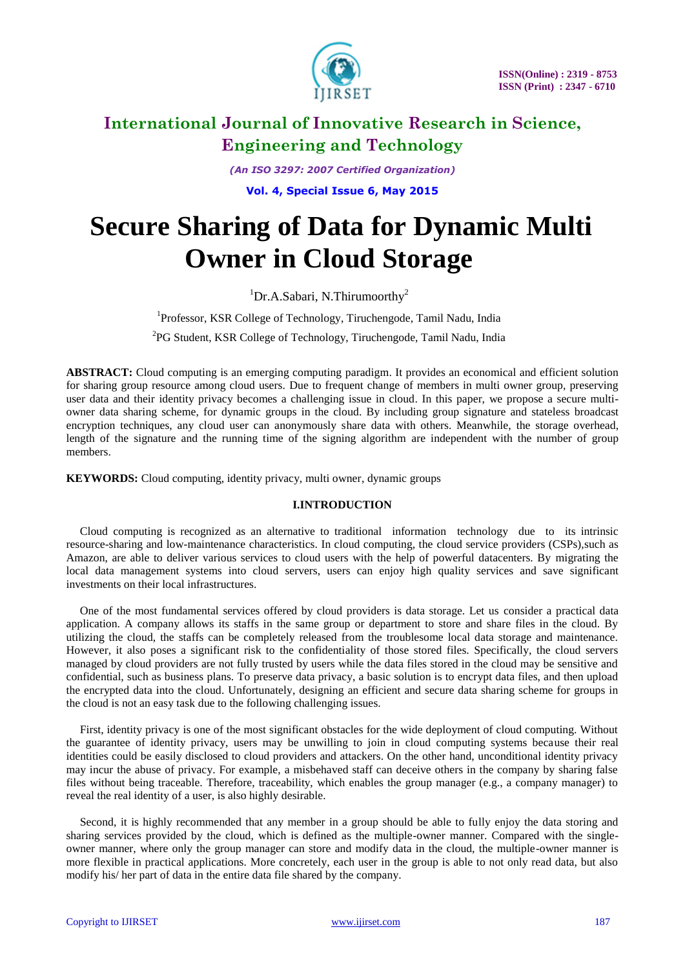

*(An ISO 3297: 2007 Certified Organization)*

**Vol. 4, Special Issue 6, May 2015**

# **Secure Sharing of Data for Dynamic Multi Owner in Cloud Storage**

 ${}^{1}$ Dr.A.Sabari, N.Thirumoorthy<sup>2</sup>

<sup>1</sup>Professor, KSR College of Technology, Tiruchengode, Tamil Nadu, India

<sup>2</sup>PG Student, KSR College of Technology, Tiruchengode, Tamil Nadu, India

**ABSTRACT:** Cloud computing is an emerging computing paradigm. It provides an economical and efficient solution for sharing group resource among cloud users. Due to frequent change of members in multi owner group, preserving user data and their identity privacy becomes a challenging issue in cloud. In this paper, we propose a secure multiowner data sharing scheme, for dynamic groups in the cloud. By including group signature and stateless broadcast encryption techniques, any cloud user can anonymously share data with others. Meanwhile, the storage overhead, length of the signature and the running time of the signing algorithm are independent with the number of group members.

**KEYWORDS:** Cloud computing, identity privacy, multi owner, dynamic groups

### **I.INTRODUCTION**

Cloud computing is recognized as an alternative to traditional information technology due to its intrinsic resource-sharing and low-maintenance characteristics. In cloud computing, the cloud service providers (CSPs),such as Amazon, are able to deliver various services to cloud users with the help of powerful datacenters. By migrating the local data management systems into cloud servers, users can enjoy high quality services and save significant investments on their local infrastructures.

One of the most fundamental services offered by cloud providers is data storage. Let us consider a practical data application. A company allows its staffs in the same group or department to store and share files in the cloud. By utilizing the cloud, the staffs can be completely released from the troublesome local data storage and maintenance. However, it also poses a significant risk to the confidentiality of those stored files. Specifically, the cloud servers managed by cloud providers are not fully trusted by users while the data files stored in the cloud may be sensitive and confidential, such as business plans. To preserve data privacy, a basic solution is to encrypt data files, and then upload the encrypted data into the cloud. Unfortunately, designing an efficient and secure data sharing scheme for groups in the cloud is not an easy task due to the following challenging issues.

First, identity privacy is one of the most significant obstacles for the wide deployment of cloud computing. Without the guarantee of identity privacy, users may be unwilling to join in cloud computing systems because their real identities could be easily disclosed to cloud providers and attackers. On the other hand, unconditional identity privacy may incur the abuse of privacy. For example, a misbehaved staff can deceive others in the company by sharing false files without being traceable. Therefore, traceability, which enables the group manager (e.g., a company manager) to reveal the real identity of a user, is also highly desirable.

Second, it is highly recommended that any member in a group should be able to fully enjoy the data storing and sharing services provided by the cloud, which is defined as the multiple-owner manner. Compared with the singleowner manner, where only the group manager can store and modify data in the cloud, the multiple-owner manner is more flexible in practical applications. More concretely, each user in the group is able to not only read data, but also modify his/ her part of data in the entire data file shared by the company.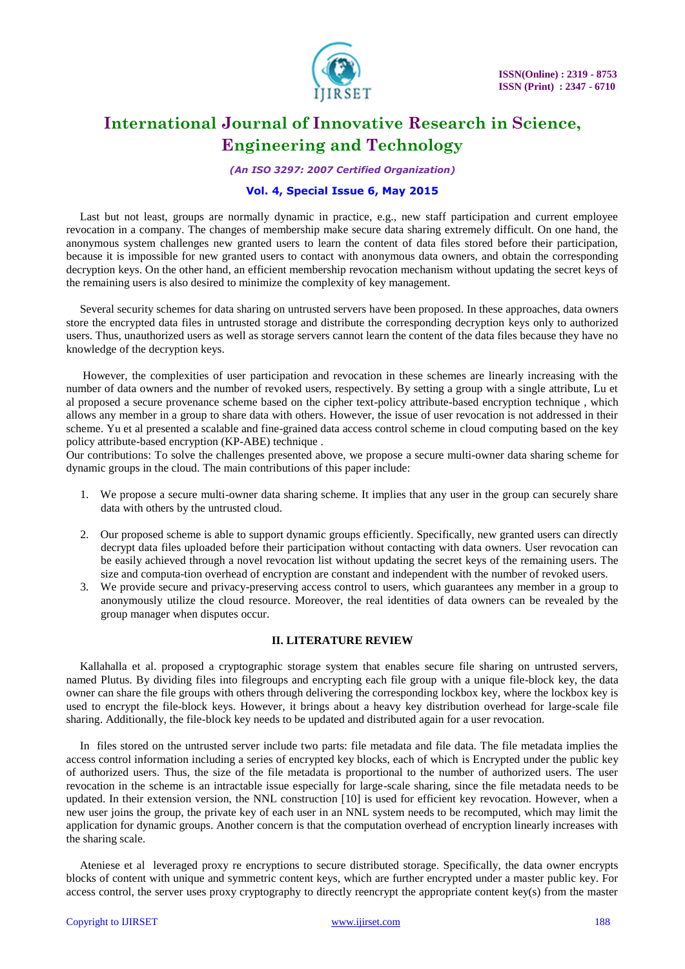

*(An ISO 3297: 2007 Certified Organization)*

### **Vol. 4, Special Issue 6, May 2015**

Last but not least, groups are normally dynamic in practice, e.g., new staff participation and current employee revocation in a company. The changes of membership make secure data sharing extremely difficult. On one hand, the anonymous system challenges new granted users to learn the content of data files stored before their participation, because it is impossible for new granted users to contact with anonymous data owners, and obtain the corresponding decryption keys. On the other hand, an efficient membership revocation mechanism without updating the secret keys of the remaining users is also desired to minimize the complexity of key management.

Several security schemes for data sharing on untrusted servers have been proposed. In these approaches, data owners store the encrypted data files in untrusted storage and distribute the corresponding decryption keys only to authorized users. Thus, unauthorized users as well as storage servers cannot learn the content of the data files because they have no knowledge of the decryption keys.

However, the complexities of user participation and revocation in these schemes are linearly increasing with the number of data owners and the number of revoked users, respectively. By setting a group with a single attribute, Lu et al proposed a secure provenance scheme based on the cipher text-policy attribute-based encryption technique , which allows any member in a group to share data with others. However, the issue of user revocation is not addressed in their scheme. Yu et al presented a scalable and fine-grained data access control scheme in cloud computing based on the key policy attribute-based encryption (KP-ABE) technique .

Our contributions: To solve the challenges presented above, we propose a secure multi-owner data sharing scheme for dynamic groups in the cloud. The main contributions of this paper include:

- 1. We propose a secure multi-owner data sharing scheme. It implies that any user in the group can securely share data with others by the untrusted cloud.
- 2. Our proposed scheme is able to support dynamic groups efficiently. Specifically, new granted users can directly decrypt data files uploaded before their participation without contacting with data owners. User revocation can be easily achieved through a novel revocation list without updating the secret keys of the remaining users. The size and computa-tion overhead of encryption are constant and independent with the number of revoked users.
- 3. We provide secure and privacy-preserving access control to users, which guarantees any member in a group to anonymously utilize the cloud resource. Moreover, the real identities of data owners can be revealed by the group manager when disputes occur.

### **II. LITERATURE REVIEW**

Kallahalla et al. proposed a cryptographic storage system that enables secure file sharing on untrusted servers, named Plutus. By dividing files into filegroups and encrypting each file group with a unique file-block key, the data owner can share the file groups with others through delivering the corresponding lockbox key, where the lockbox key is used to encrypt the file-block keys. However, it brings about a heavy key distribution overhead for large-scale file sharing. Additionally, the file-block key needs to be updated and distributed again for a user revocation.

In files stored on the untrusted server include two parts: file metadata and file data. The file metadata implies the access control information including a series of encrypted key blocks, each of which is Encrypted under the public key of authorized users. Thus, the size of the file metadata is proportional to the number of authorized users. The user revocation in the scheme is an intractable issue especially for large-scale sharing, since the file metadata needs to be updated. In their extension version, the NNL construction [10] is used for efficient key revocation. However, when a new user joins the group, the private key of each user in an NNL system needs to be recomputed, which may limit the application for dynamic groups. Another concern is that the computation overhead of encryption linearly increases with the sharing scale.

Ateniese et al leveraged proxy re encryptions to secure distributed storage. Specifically, the data owner encrypts blocks of content with unique and symmetric content keys, which are further encrypted under a master public key. For access control, the server uses proxy cryptography to directly reencrypt the appropriate content key(s) from the master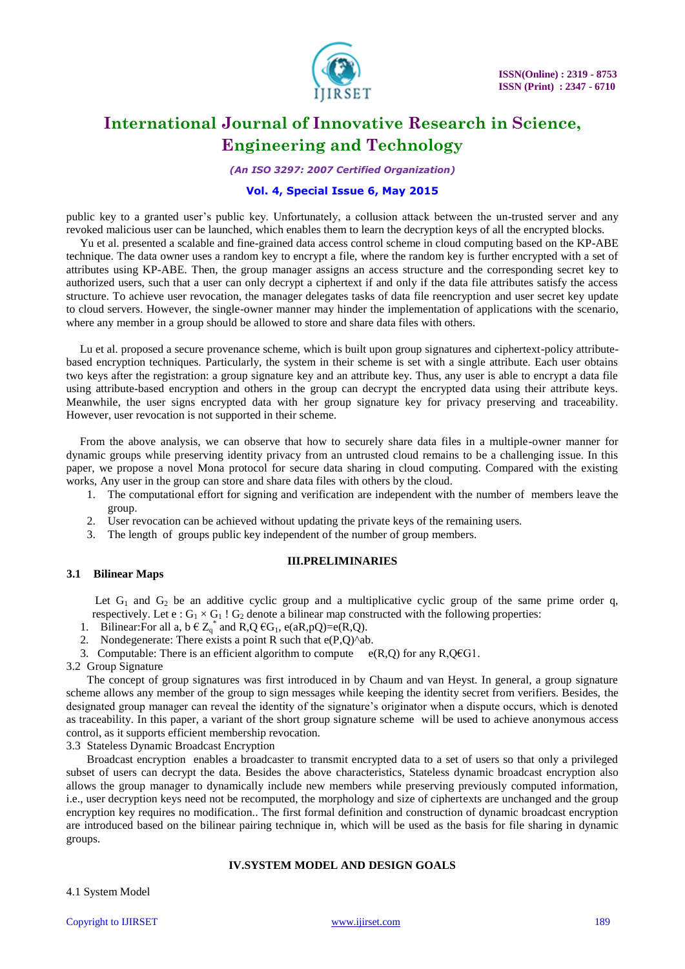

*(An ISO 3297: 2007 Certified Organization)*

### **Vol. 4, Special Issue 6, May 2015**

public key to a granted user"s public key. Unfortunately, a collusion attack between the un-trusted server and any revoked malicious user can be launched, which enables them to learn the decryption keys of all the encrypted blocks.

Yu et al. presented a scalable and fine-grained data access control scheme in cloud computing based on the KP-ABE technique. The data owner uses a random key to encrypt a file, where the random key is further encrypted with a set of attributes using KP-ABE. Then, the group manager assigns an access structure and the corresponding secret key to authorized users, such that a user can only decrypt a ciphertext if and only if the data file attributes satisfy the access structure. To achieve user revocation, the manager delegates tasks of data file reencryption and user secret key update to cloud servers. However, the single-owner manner may hinder the implementation of applications with the scenario, where any member in a group should be allowed to store and share data files with others.

Lu et al. proposed a secure provenance scheme, which is built upon group signatures and ciphertext-policy attributebased encryption techniques. Particularly, the system in their scheme is set with a single attribute. Each user obtains two keys after the registration: a group signature key and an attribute key. Thus, any user is able to encrypt a data file using attribute-based encryption and others in the group can decrypt the encrypted data using their attribute keys. Meanwhile, the user signs encrypted data with her group signature key for privacy preserving and traceability. However, user revocation is not supported in their scheme.

From the above analysis, we can observe that how to securely share data files in a multiple-owner manner for dynamic groups while preserving identity privacy from an untrusted cloud remains to be a challenging issue. In this paper, we propose a novel Mona protocol for secure data sharing in cloud computing. Compared with the existing works, Any user in the group can store and share data files with others by the cloud.

- 1. The computational effort for signing and verification are independent with the number of members leave the group.
- 2. User revocation can be achieved without updating the private keys of the remaining users.
- 3. The length of groups public key independent of the number of group members.

### **III.PRELIMINARIES**

### **3.1 Bilinear Maps**

Let  $G_1$  and  $G_2$  be an additive cyclic group and a multiplicative cyclic group of the same prime order q, respectively. Let  $e : G_1 \times G_1 : G_2$  denote a bilinear map constructed with the following properties:

- 1. Bilinear: For all a,  $b \in Z_q^*$  and  $R, Q \in G_1$ ,  $e(aR, pQ) = e(R, Q)$ .
- 2. Nondegenerate: There exists a point R such that  $e(P,Q)^{\wedge}$ ab.
- 3. Computable: There is an efficient algorithm to compute  $e(R,Q)$  for any R,Q $EGL$ .
- 3.2 Group Signature

The concept of group signatures was first introduced in by Chaum and van Heyst. In general, a group signature scheme allows any member of the group to sign messages while keeping the identity secret from verifiers. Besides, the designated group manager can reveal the identity of the signature"s originator when a dispute occurs, which is denoted as traceability. In this paper, a variant of the short group signature scheme will be used to achieve anonymous access control, as it supports efficient membership revocation.

3.3 Stateless Dynamic Broadcast Encryption

Broadcast encryption enables a broadcaster to transmit encrypted data to a set of users so that only a privileged subset of users can decrypt the data. Besides the above characteristics, Stateless dynamic broadcast encryption also allows the group manager to dynamically include new members while preserving previously computed information, i.e., user decryption keys need not be recomputed, the morphology and size of ciphertexts are unchanged and the group encryption key requires no modification.. The first formal definition and construction of dynamic broadcast encryption are introduced based on the bilinear pairing technique in, which will be used as the basis for file sharing in dynamic groups.

### **IV.SYSTEM MODEL AND DESIGN GOALS**

4.1 System Model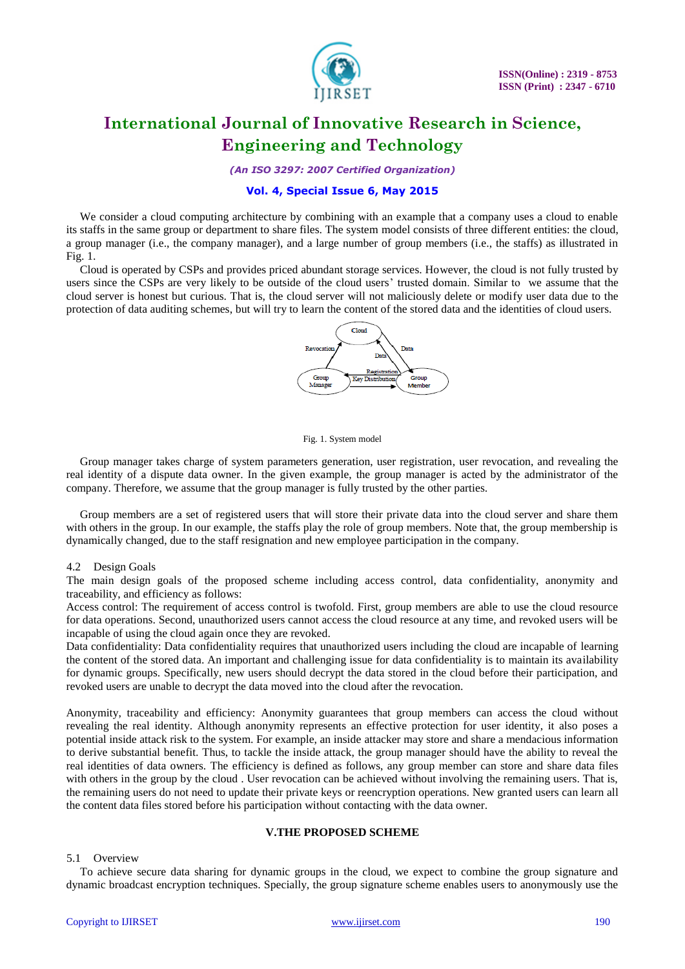

*(An ISO 3297: 2007 Certified Organization)*

### **Vol. 4, Special Issue 6, May 2015**

We consider a cloud computing architecture by combining with an example that a company uses a cloud to enable its staffs in the same group or department to share files. The system model consists of three different entities: the cloud, a group manager (i.e., the company manager), and a large number of group members (i.e., the staffs) as illustrated in Fig. 1.

Cloud is operated by CSPs and provides priced abundant storage services. However, the cloud is not fully trusted by users since the CSPs are very likely to be outside of the cloud users' trusted domain. Similar to we assume that the cloud server is honest but curious. That is, the cloud server will not maliciously delete or modify user data due to the protection of data auditing schemes, but will try to learn the content of the stored data and the identities of cloud users.



#### Fig. 1. System model

Group manager takes charge of system parameters generation, user registration, user revocation, and revealing the real identity of a dispute data owner. In the given example, the group manager is acted by the administrator of the company. Therefore, we assume that the group manager is fully trusted by the other parties.

Group members are a set of registered users that will store their private data into the cloud server and share them with others in the group. In our example, the staffs play the role of group members. Note that, the group membership is dynamically changed, due to the staff resignation and new employee participation in the company.

#### 4.2 Design Goals

The main design goals of the proposed scheme including access control, data confidentiality, anonymity and traceability, and efficiency as follows:

Access control: The requirement of access control is twofold. First, group members are able to use the cloud resource for data operations. Second, unauthorized users cannot access the cloud resource at any time, and revoked users will be incapable of using the cloud again once they are revoked.

Data confidentiality: Data confidentiality requires that unauthorized users including the cloud are incapable of learning the content of the stored data. An important and challenging issue for data confidentiality is to maintain its availability for dynamic groups. Specifically, new users should decrypt the data stored in the cloud before their participation, and revoked users are unable to decrypt the data moved into the cloud after the revocation.

Anonymity, traceability and efficiency: Anonymity guarantees that group members can access the cloud without revealing the real identity. Although anonymity represents an effective protection for user identity, it also poses a potential inside attack risk to the system. For example, an inside attacker may store and share a mendacious information to derive substantial benefit. Thus, to tackle the inside attack, the group manager should have the ability to reveal the real identities of data owners. The efficiency is defined as follows, any group member can store and share data files with others in the group by the cloud. User revocation can be achieved without involving the remaining users. That is, the remaining users do not need to update their private keys or reencryption operations. New granted users can learn all the content data files stored before his participation without contacting with the data owner.

#### **V.THE PROPOSED SCHEME**

#### 5.1 Overview

To achieve secure data sharing for dynamic groups in the cloud, we expect to combine the group signature and dynamic broadcast encryption techniques. Specially, the group signature scheme enables users to anonymously use the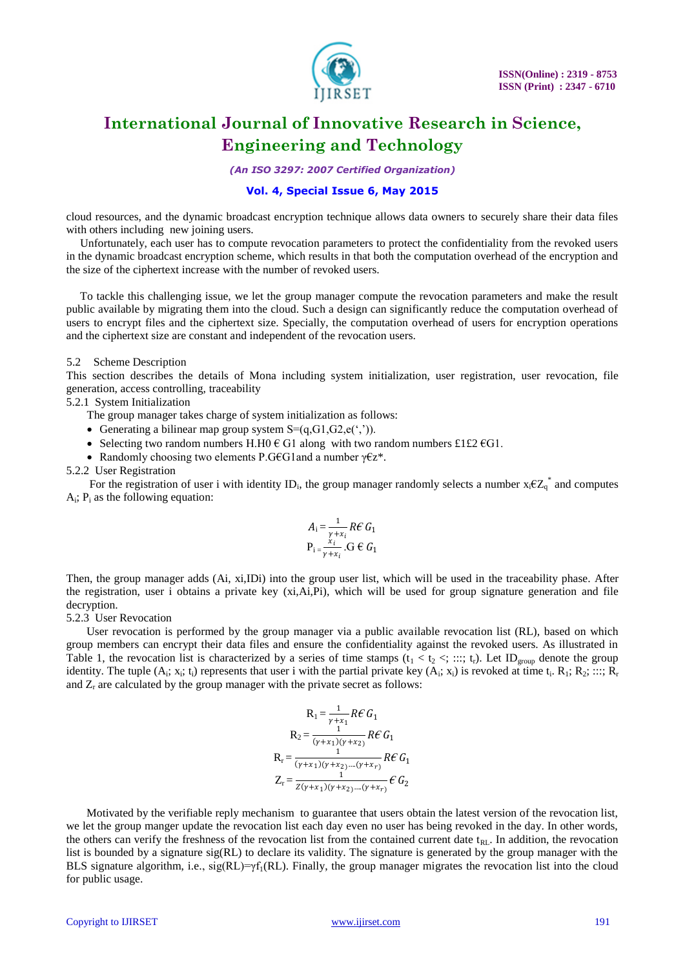

*(An ISO 3297: 2007 Certified Organization)*

### **Vol. 4, Special Issue 6, May 2015**

cloud resources, and the dynamic broadcast encryption technique allows data owners to securely share their data files with others including new joining users.

Unfortunately, each user has to compute revocation parameters to protect the confidentiality from the revoked users in the dynamic broadcast encryption scheme, which results in that both the computation overhead of the encryption and the size of the ciphertext increase with the number of revoked users.

To tackle this challenging issue, we let the group manager compute the revocation parameters and make the result public available by migrating them into the cloud. Such a design can significantly reduce the computation overhead of users to encrypt files and the ciphertext size. Specially, the computation overhead of users for encryption operations and the ciphertext size are constant and independent of the revocation users.

#### 5.2 Scheme Description

This section describes the details of Mona including system initialization, user registration, user revocation, file generation, access controlling, traceability

### 5.2.1 System Initialization

The group manager takes charge of system initialization as follows:

- Generating a bilinear map group system  $S=(q,G1,G2,e(°,'))$ .
- Selecting two random numbers H.H0  $\in$  G1 along with two random numbers £1£2  $\in$ G1.
- Randomly choosing two elements P.G $\epsilon$ G1 and a number  $\gamma \epsilon z^*$ .

#### 5.2.2 User Registration

For the registration of user i with identity ID<sub>i</sub>, the group manager randomly selects a number  $x_i \in Z_q^*$  and computes  $A_i$ ;  $P_i$  as the following equation:

$$
A_{i} = \frac{1}{\gamma + x_{i}} \text{Re } G_{1}
$$
  

$$
P_{i} = \frac{x_{i}}{\gamma + x_{i}} \text{.G} \in G_{1}
$$

Then, the group manager adds (Ai, xi,IDi) into the group user list, which will be used in the traceability phase. After the registration, user i obtains a private key (xi,Ai,Pi), which will be used for group signature generation and file decryption.

5.2.3 User Revocation

 User revocation is performed by the group manager via a public available revocation list (RL), based on which group members can encrypt their data files and ensure the confidentiality against the revoked users. As illustrated in Table 1, the revocation list is characterized by a series of time stamps  $(t_1 < t_2 <; \dots; t_r)$ . Let ID<sub>group</sub> denote the group identity. The tuple  $(A_i; x_i; t_i)$  represents that user i with the partial private key  $(A_i; x_i)$  is revoked at time  $t_i$ .  $R_1; R_2; \dots; R_r$ and  $Z_r$  are calculated by the group manager with the private secret as follows:

$$
R_1 = \frac{1}{\gamma + x_1} R \mathcal{E} G_1
$$
  
\n
$$
R_2 = \frac{1}{(\gamma + x_1)(\gamma + x_2)} R \mathcal{E} G_1
$$
  
\n
$$
R_r = \frac{1}{(\gamma + x_1)(\gamma + x_2) \dots (\gamma + x_r)} R \mathcal{E} G_1
$$
  
\n
$$
Z_r = \frac{1}{Z(\gamma + x_1)(\gamma + x_2) \dots (\gamma + x_r)} \mathcal{E} G_2
$$

 Motivated by the verifiable reply mechanism to guarantee that users obtain the latest version of the revocation list, we let the group manger update the revocation list each day even no user has being revoked in the day. In other words, the others can verify the freshness of the revocation list from the contained current date  $t_{RI}$ . In addition, the revocation list is bounded by a signature sig(RL) to declare its validity. The signature is generated by the group manager with the BLS signature algorithm, i.e.,  $sig(RL)=\gamma f_1(RL)$ . Finally, the group manager migrates the revocation list into the cloud for public usage.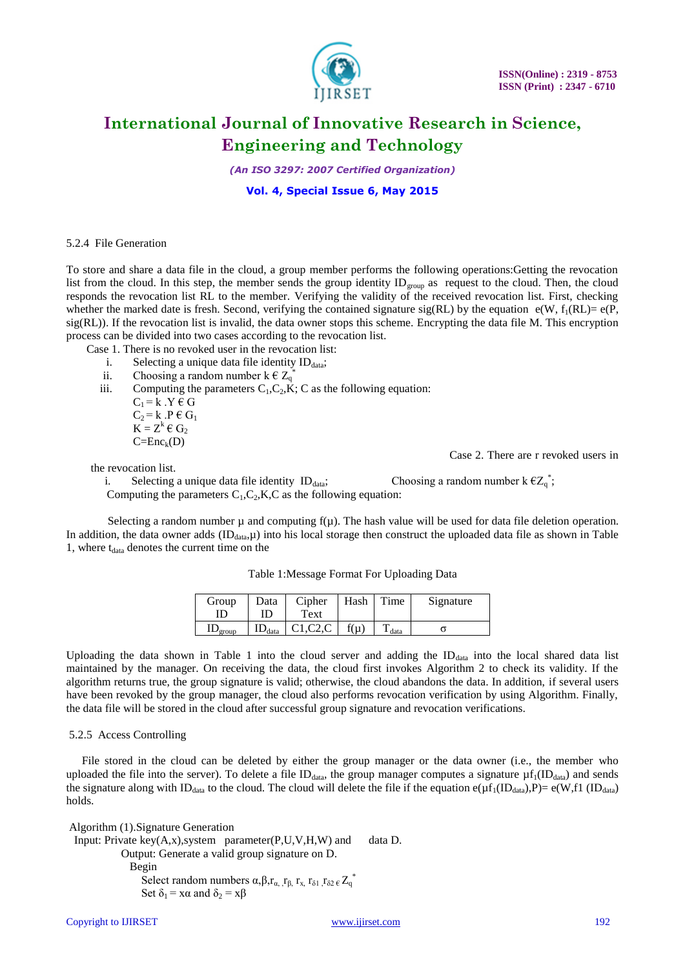

*(An ISO 3297: 2007 Certified Organization)*

### **Vol. 4, Special Issue 6, May 2015**

#### 5.2.4 File Generation

To store and share a data file in the cloud, a group member performs the following operations:Getting the revocation list from the cloud. In this step, the member sends the group identity  $ID_{group}$  as request to the cloud. Then, the cloud responds the revocation list RL to the member. Verifying the validity of the received revocation list. First, checking whether the marked date is fresh. Second, verifying the contained signature sig(RL) by the equation  $e(W, f_1(RL)) = e(P, g_2)$  $sig(RL)$ ). If the revocation list is invalid, the data owner stops this scheme. Encrypting the data file M. This encryption process can be divided into two cases according to the revocation list.

Case 1. There is no revoked user in the revocation list:

- i. Selecting a unique data file identity  $ID_{data}$ ;
- ii. Choosing a random number  $k \in Z_q^*$
- iii. Computing the parameters  $C_1, C_2, K$ ; C as the following equation:

 $C_1 = k$  .  $Y \in G$  $C_2$  = k .P  $\in$  G<sub>1</sub>  $K = Z^k \in G_2$  $C=Enc_v(D)$ 

Case 2. There are r revoked users in

the revocation list.

i. Selecting a unique data file identity  $ID<sub>data</sub>$ ;  $^*$ ; Computing the parameters  $C_1, C_2, K, C$  as the following equation:

Selecting a random number  $\mu$  and computing  $f(\mu)$ . The hash value will be used for data file deletion operation. In addition, the data owner adds  $(ID_{data},\mu)$  into his local storage then construct the uploaded data file as shown in Table 1, where  $t_{data}$  denotes the current time on the

| Group        | Data        | Cipher  | Hash | Time | Signature |
|--------------|-------------|---------|------|------|-----------|
| ΙD           |             | Text    |      |      |           |
| $ID_{group}$ | $1D_{data}$ | C1.C2.C | f(u) | data |           |

Table 1:Message Format For Uploading Data

Uploading the data shown in Table 1 into the cloud server and adding the ID<sub>data</sub> into the local shared data list maintained by the manager. On receiving the data, the cloud first invokes Algorithm 2 to check its validity. If the algorithm returns true, the group signature is valid; otherwise, the cloud abandons the data. In addition, if several users have been revoked by the group manager, the cloud also performs revocation verification by using Algorithm. Finally, the data file will be stored in the cloud after successful group signature and revocation verifications.

#### 5.2.5 Access Controlling

File stored in the cloud can be deleted by either the group manager or the data owner (i.e., the member who uploaded the file into the server). To delete a file ID<sub>data</sub>, the group manager computes a signature  $\mu f_1(ID_{data})$  and sends the signature along with ID<sub>data</sub> to the cloud. The cloud will delete the file if the equation  $e(\mu f_1(ID_{data}),P)=e(W,f1(ID_{data}),P)$ holds.

```
Algorithm (1).Signature Generation
 Input: Private key(A, x), system parameter(P, U, V, H, W) and data D.
               Output: Generate a valid group signature on D.
                 Begin
Select random numbers \alpha, \beta, r_{\alpha}, r_{\beta}, r_{x}, r_{\delta1}, r_{\delta2} \in \mathbb{Z}_q^*Set \delta_1 = x\alpha and \delta_2 = x\beta
```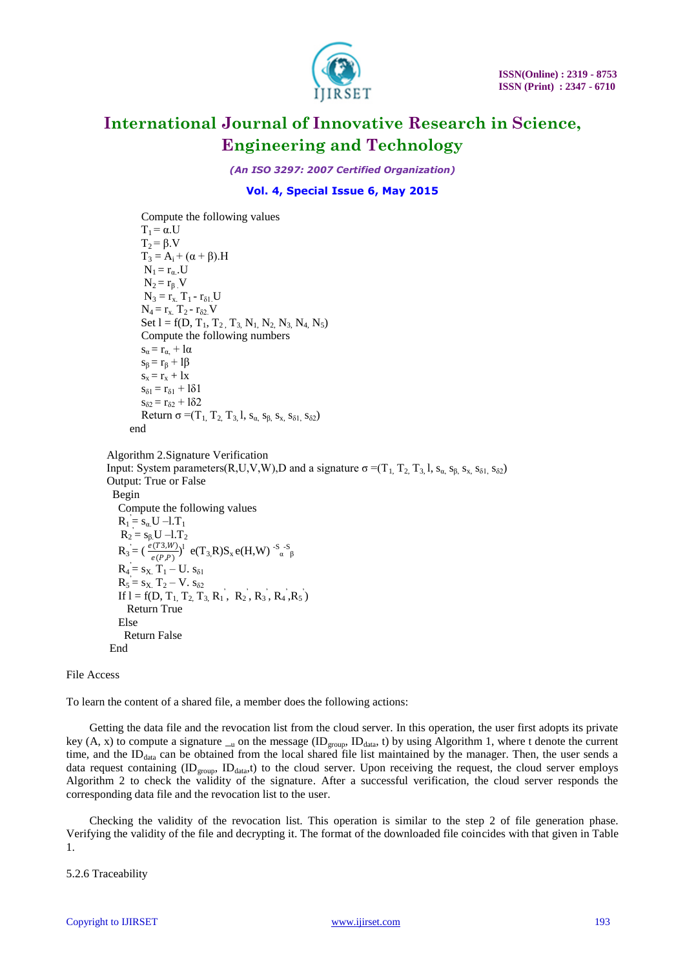

*(An ISO 3297: 2007 Certified Organization)*

### **Vol. 4, Special Issue 6, May 2015**

```
 Compute the following values
           T_1 = \alpha.U
           T_2 = \beta.VT_3 = A_i + (\alpha + \beta) HN_1 = r_\alpha.U
            N_2 = r_\beta VN_3 = r_x. T<sub>1</sub> - r_{\delta 1} U
            N_4 = r_{x_1} T_2 - r_{\delta 2} VSet l = f(D, T_1, T_2, T_3, N_1, N_2, N_3, N_4, N_5) Compute the following numbers
            s_{\alpha} = r_{\alpha} + l\alphas_{\beta} = r_{\beta} + 1\betas_x = r_x + lxs_{\delta 1} = r_{\delta 1} + 1\delta 1s_{\delta 2} = r_{\delta 2} + 1\delta 2Return \sigma = (T_1, T_2, T_3, I, s_\alpha, s_\beta, s_x, s_{\delta 1}, s_{\delta 2}) end
 Algorithm 2.Signature Verification
```
Input: System parameters(R,U,V,W),D and a signature  $\sigma = (T_1, T_2, T_3, I, s_\alpha, s_\beta, s_x, s_{\delta 1}, s_{\delta 2})$  Output: True or False Begin Compute the following values  $R_1 = s_\alpha U - l \cdot T_1$  $R_2 = s_{\beta} U -1.T_2$  $R_3 = (\frac{e(T3,W)}{e(P,P)})^1$  e(T<sub>3</sub>,R)S<sub>x</sub> e(H,W)  $\frac{S-S}{\alpha-\beta}$  $R_4 = s_X$ ,  $T_1 - U$ ,  $s_{\delta 1}$  $R_5 = s_X$ ,  $T_2 - V$ ,  $s_{\delta 2}$ If  $1 = f(D, T_1, T_2, T_3, R_1, R_2, R_3, R_4, R_5)$  Return True Else Return False End

File Access

To learn the content of a shared file, a member does the following actions:

 Getting the data file and the revocation list from the cloud server. In this operation, the user first adopts its private key (A, x) to compute a signature  $_{\text{u}}$  on the message (ID<sub>group</sub>, ID<sub>data</sub>, t) by using Algorithm 1, where t denote the current time, and the ID $_{data}$  can be obtained from the local shared file list maintained by the manager. Then, the user sends a data request containing  $(ID_{group}, ID_{data}, t)$  to the cloud server. Upon receiving the request, the cloud server employs Algorithm 2 to check the validity of the signature. After a successful verification, the cloud server responds the corresponding data file and the revocation list to the user.

 Checking the validity of the revocation list. This operation is similar to the step 2 of file generation phase. Verifying the validity of the file and decrypting it. The format of the downloaded file coincides with that given in Table 1.

5.2.6 Traceability